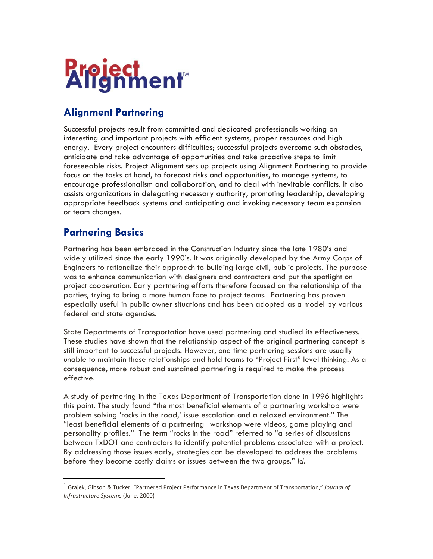

# **Alignment Partnering**

Successful projects result from committed and dedicated professionals working on interesting and important projects with efficient systems, proper resources and high energy. Every project encounters difficulties; successful projects overcome such obstacles, anticipate and take advantage of opportunities and take proactive steps to limit foreseeable risks. Project Alignment sets up projects using Alignment Partnering to provide focus on the tasks at hand, to forecast risks and opportunities, to manage systems, to encourage professionalism and collaboration, and to deal with inevitable conflicts. It also assists organizations in delegating necessary authority, promoting leadership, developing appropriate feedback systems and anticipating and invoking necessary team expansion or team changes.

### **Partnering Basics**

Partnering has been embraced in the Construction Industry since the late 1980's and widely utilized since the early 1990's. It was originally developed by the Army Corps of Engineers to rationalize their approach to building large civil, public projects. The purpose was to enhance communication with designers and contractors and put the spotlight on project cooperation. Early partnering efforts therefore focused on the relationship of the parties, trying to bring a more human face to project teams. Partnering has proven especially useful in public owner situations and has been adopted as a model by various federal and state agencies.

State Departments of Transportation have used partnering and studied its effectiveness. These studies have shown that the relationship aspect of the original partnering concept is still important to successful projects. However, one time partnering sessions are usually unable to maintain those relationships and hold teams to "Project First" level thinking. As a consequence, more robust and sustained partnering is required to make the process effective.

A study of partnering in the Texas Department of Transportation done in 1996 highlights this point. The study found "the most beneficial elements of a partnering workshop were problem solving 'rocks in the road,' issue escalation and a relaxed environment." The "least beneficial elements of a partnering<sup>[1](#page-0-0)</sup> workshop were videos, game playing and personality profiles." The term "rocks in the road" referred to "a series of discussions between TxDOT and contractors to identify potential problems associated with a project. By addressing those issues early, strategies can be developed to address the problems before they become costly claims or issues between the two groups." *Id.*

<span id="page-0-0"></span> <sup>1</sup> Grajek, Gibson & Tucker, "Partnered Project Performance in Texas Department of Transportation," *Journal of Infrastructure Systems* (June, 2000)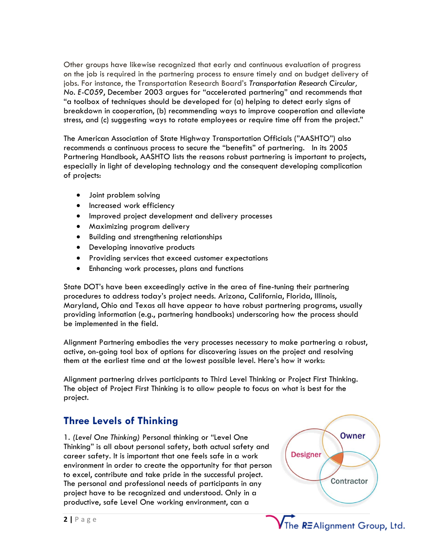Other groups have likewise recognized that early and continuous evaluation of progress on the job is required in the partnering process to ensure timely and on budget delivery of jobs. For instance, the Transportation Research Board's *Transportation Research Circular, No. E-C059*, December 2003 argues for "accelerated partnering" and recommends that "a toolbox of techniques should be developed for (a) helping to detect early signs of breakdown in cooperation, (b) recommending ways to improve cooperation and alleviate stress, and (c) suggesting ways to rotate employees or require time off from the project."

The American Association of State Highway Transportation Officials ("AASHTO") also recommends a continuous process to secure the "benefits" of partnering. In its 2005 Partnering Handbook, AASHTO lists the reasons robust partnering is important to projects, especially in light of developing technology and the consequent developing complication of projects:

- Joint problem solving
- Increased work efficiency
- Improved project development and delivery processes
- Maximizing program delivery
- Building and strengthening relationships
- Developing innovative products
- Providing services that exceed customer expectations
- Enhancing work processes, plans and functions

State DOT's have been exceedingly active in the area of fine-tuning their partnering procedures to address today's project needs. Arizona, California, Florida, Illinois, Maryland, Ohio and Texas all have appear to have robust partnering programs, usually providing information (e.g., partnering handbooks) underscoring how the process should be implemented in the field.

Alignment Partnering embodies the very processes necessary to make partnering a robust, active, on-going tool box of options for discovering issues on the project and resolving them at the earliest time and at the lowest possible level. Here's how it works:

Alignment partnering drives participants to Third Level Thinking or Project First Thinking. The object of Project First Thinking is to allow people to focus on what is best for the project.

### **Three Levels of Thinking**

1. *(Level One Thinking)* Personal thinking or "Level One Thinking" is all about personal safety, both actual safety and career safety. It is important that one feels safe in a work environment in order to create the opportunity for that person to excel, contribute and take pride in the successful project. The personal and professional needs of participants in any project have to be recognized and understood. Only in a productive, safe Level One working environment, can a

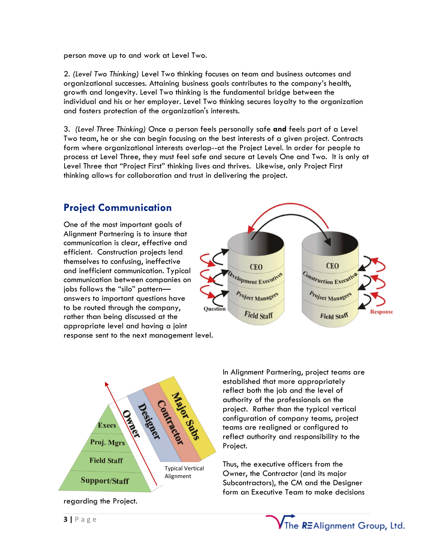person move up to and work at Level Two.

2. *(Level Two Thinking)* Level Two thinking focuses on team and business outcomes and organizational successes. Attaining business goals contributes to the company's health, growth and longevity. Level Two thinking is the fundamental bridge between the individual and his or her employer. Level Two thinking secures loyalty to the organization and fosters protection of the organization's interests.

3. *(Level Three Thinking)* Once a person feels personally safe **and** feels part of a Level Two team, he or she can begin focusing on the best interests of a given project. Contracts form where organizational interests overlap--at the Project Level. In order for people to process at Level Three, they must feel safe and secure at Levels One and Two. It is only at Level Three that "Project First" thinking lives and thrives. Likewise, only Project First thinking allows for collaboration and trust in delivering the project.

# **Project Communication**

One of the most important goals of Alignment Partnering is to insure that communication is clear, effective and efficient. Construction projects lend themselves to confusing, ineffective and inefficient communication. Typical communication between companies on jobs follows the "silo" pattern answers to important questions have to be routed through the company, rather than being discussed at the appropriate level and having a joint response sent to the next management level.





regarding the Project.

In Alignment Partnering, project teams are established that more appropriately reflect both the job and the level of authority of the professionals on the project. Rather than the typical vertical configuration of company teams, project teams are realigned or configured to reflect authority and responsibility to the Project.

Thus, the executive officers from the Owner, the Contractor (and its major Subcontractors), the CM and the Designer form an Executive Team to make decisions

The REAlignment Group, Ltd.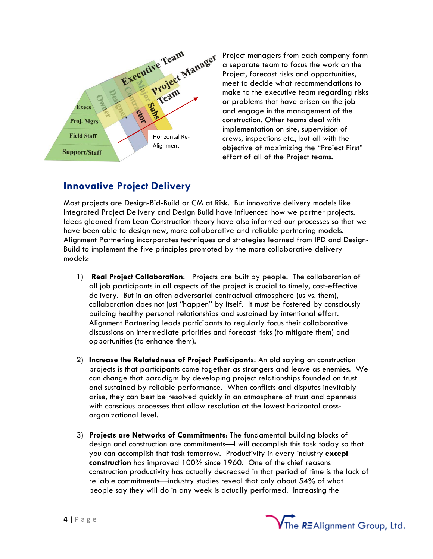

Project managers from each company form a separate team to focus the work on the Project, forecast risks and opportunities, meet to decide what recommendations to make to the executive team regarding risks or problems that have arisen on the job and engage in the management of the construction. Other teams deal with implementation on site, supervision of crews, inspections etc., but all with the objective of maximizing the "Project First" effort of all of the Project teams.

The REAlignment Group, Ltd.

# **Innovative Project Delivery**

Most projects are Design-Bid-Build or CM at Risk. But innovative delivery models like Integrated Project Delivery and Design Build have influenced how we partner projects. Ideas gleaned from Lean Construction theory have also informed our processes so that we have been able to design new, more collaborative and reliable partnering models. Alignment Partnering incorporates techniques and strategies learned from IPD and Design-Build to implement the five principles promoted by the more collaborative delivery models:

- 1) **Real Project Collaboration**: Projects are built by people. The collaboration of all job participants in all aspects of the project is crucial to timely, cost-effective delivery. But in an often adversarial contractual atmosphere (us vs. them), collaboration does not just "happen" by itself. It must be fostered by consciously building healthy personal relationships and sustained by intentional effort. Alignment Partnering leads participants to regularly focus their collaborative discussions on intermediate priorities and forecast risks (to mitigate them) and opportunities (to enhance them).
- 2) **Increase the Relatedness of Project Participants**: An old saying on construction projects is that participants come together as strangers and leave as enemies. We can change that paradigm by developing project relationships founded on trust and sustained by reliable performance. When conflicts and disputes inevitably arise, they can best be resolved quickly in an atmosphere of trust and openness with conscious processes that allow resolution at the lowest horizontal crossorganizational level.
- 3) **Projects are Networks of Commitments**: The fundamental building blocks of design and construction are commitments—I will accomplish this task today so that you can accomplish that task tomorrow. Productivity in every industry **except construction** has improved 100% since 1960. One of the chief reasons construction productivity has actually decreased in that period of time is the lack of reliable commitments—industry studies reveal that only about 54% of what people say they will do in any week is actually performed. Increasing the